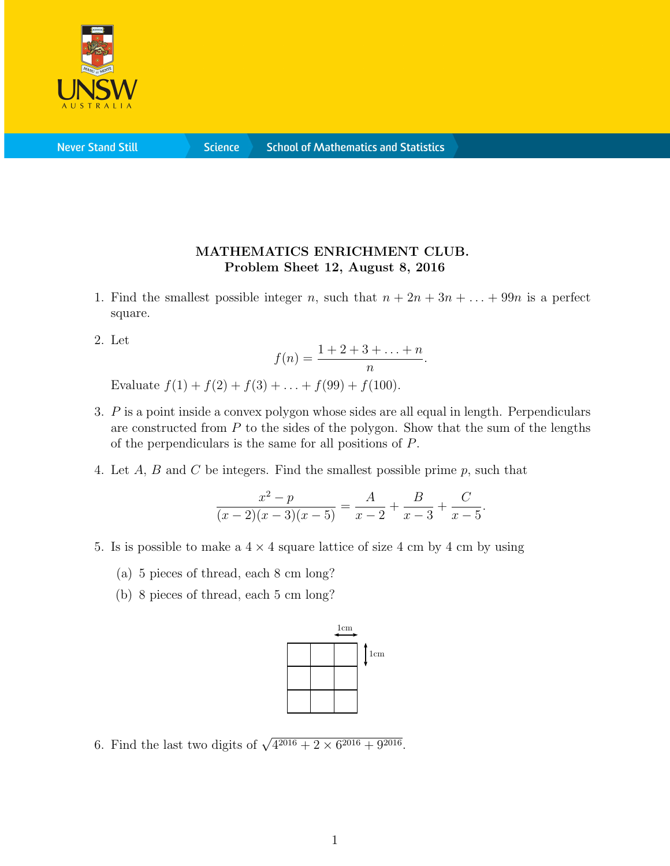

**Never Stand Still** 

**Science** 

## MATHEMATICS ENRICHMENT CLUB. Problem Sheet 12, August 8, 2016

- 1. Find the smallest possible integer n, such that  $n + 2n + 3n + \ldots + 99n$  is a perfect square.
- 2. Let

$$
f(n) = \frac{1+2+3+\ldots+n}{n}.
$$

Evaluate  $f(1) + f(2) + f(3) + \ldots + f(99) + f(100)$ .

- 3. P is a point inside a convex polygon whose sides are all equal in length. Perpendiculars are constructed from  $P$  to the sides of the polygon. Show that the sum of the lengths of the perpendiculars is the same for all positions of P.
- 4. Let  $A, B$  and  $C$  be integers. Find the smallest possible prime  $p$ , such that

$$
\frac{x^2 - p}{(x - 2)(x - 3)(x - 5)} = \frac{A}{x - 2} + \frac{B}{x - 3} + \frac{C}{x - 5}.
$$

- 5. Is is possible to make a  $4 \times 4$  square lattice of size 4 cm by 4 cm by using
	- (a) 5 pieces of thread, each 8 cm long?
	- (b) 8 pieces of thread, each 5 cm long?



6. Find the last two digits of  $\sqrt{4^{2016} + 2 \times 6^{2016} + 9^{2016}}$ .